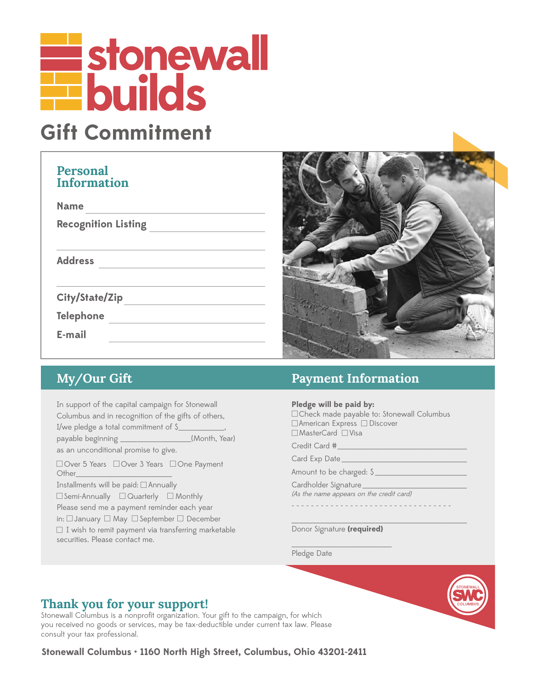# **Explore Stonewall**

## **Gift Commitment**

#### **Personal Information**

| <b>Name</b>                |
|----------------------------|
| <b>Recognition Listing</b> |
|                            |
| <b>Address</b>             |
|                            |
| City/State/Zip             |
| <b>Telephone</b>           |
| E-mail                     |
|                            |



In support of the capital campaign for Stonewall Columbus and in recognition of the gifts of others,

I/we pledge a total commitment of \$ payable beginning \_\_\_\_\_\_\_\_\_\_\_\_\_\_\_\_\_(Month, Year) as an unconditional promise to give.

□ Over 5 Years □ Over 3 Years □ One Payment Other\_\_\_\_\_\_\_\_\_\_\_\_\_\_\_\_\_\_\_\_\_\_\_

Installments will be paid:□ Annually

□ Semi-Annually □ Quarterly □ Monthly Please send me a payment reminder each year

in: □ January □ May □ September □ December

□ I wish to remit payment via transferring marketable securities. Please contact me.

### **My/Our Gift Payment Information**

**Pledge will be paid by:**

□ Check made payable to: Stonewall Columbus □ American Express □ Discover □ MasterCard □ Visa

Credit Card #\_

Card Exp Date \_\_\_\_\_\_\_\_

Amount to be charged: \$

Cardholder Signature\_ (As the name appears on the credit card)

- - - - - - - - - - - - - - - - - - - - - - - - - - - - - - - - -

\_\_\_\_\_\_\_\_\_\_\_\_\_\_\_\_\_\_\_\_\_\_\_\_\_\_\_\_\_\_\_\_\_\_\_\_\_\_\_\_\_\_ Donor Signature **(required)**

\_\_\_\_\_\_\_\_\_\_\_\_\_\_\_\_\_\_\_\_\_\_\_\_ Pledge Date



Stonewall Columbus is a nonprofit organization. Your gift to the campaign, for which you received no goods or services, may be tax-deductible under current tax law. Please consult your tax professional.

**Stonewall Columbus • 1160 North High Street, Columbus, Ohio 43201-2411**